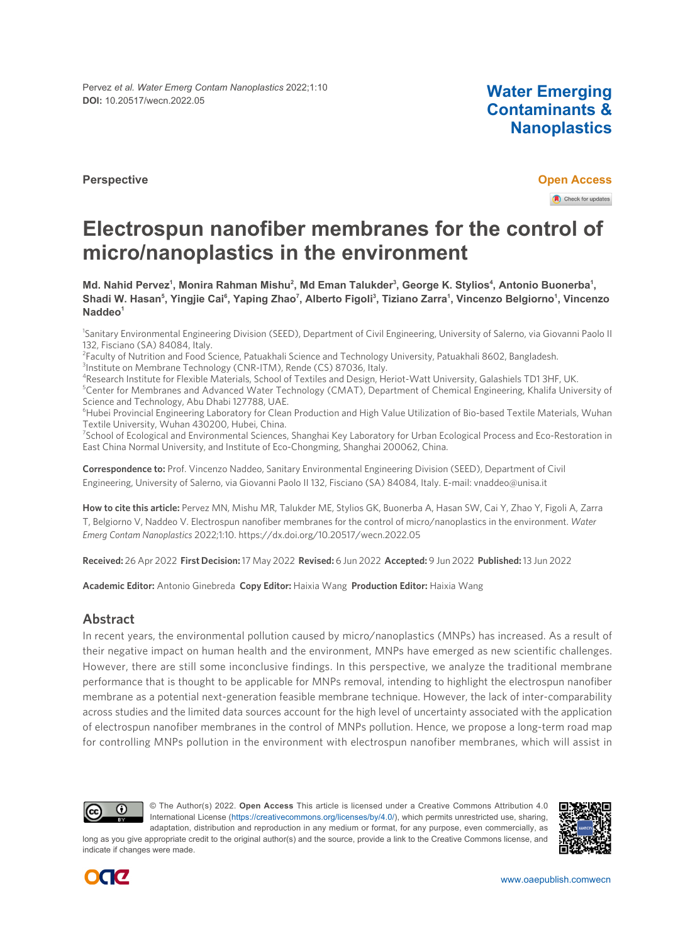Pervez *et al. Water Emerg Contam Nanoplastics* 2022;1:10 **DOI:** 10.20517/wecn.2022.05 **Water Emerging**

**Contaminants & Nanoplastics**

**Perspective Open Access** Check for updates

# **Electrospun nanofiber membranes for the control of micro/nanoplastics in the environment**

**Md. Nahid Pervez<sup>1</sup> , Monira Rahman Mishu<sup>2</sup> , Md Eman Talukder<sup>3</sup> , George K. Stylios<sup>4</sup> , Antonio Buonerba<sup>1</sup> ,** Shadi W. Hasan<sup>s</sup>, Yingjie Cai<sup>s</sup>, Yaping Zhao<sup>7</sup>, Alberto Figoli<sup>s</sup>, Tiziano Zarraʻ, Vincenzo Belgiornoʻ, Vincenzo **Naddeo<sup>1</sup>**

1 Sanitary Environmental Engineering Division (SEED), Department of Civil Engineering, University of Salerno, via Giovanni Paolo II 132, Fisciano (SA) 84084, Italy.

<sup>2</sup>Faculty of Nutrition and Food Science, Patuakhali Science and Technology University, Patuakhali 8602, Bangladesh.

<sup>3</sup>Institute on Membrane Technology (CNR-ITM), Rende (CS) 87036, Italy.

4 Research Institute for Flexible Materials, School of Textiles and Design, Heriot-Watt University, Galashiels TD1 3HF, UK.

<sup>5</sup>Center for Membranes and Advanced Water Technology (CMAT), Department of Chemical Engineering, Khalifa University of Science and Technology, Abu Dhabi 127788, UAE.

<sup>6</sup>Hubei Provincial Engineering Laboratory for Clean Production and High Value Utilization of Bio-based Textile Materials, Wuhan Textile University, Wuhan 430200, Hubei, China.

<sup>7</sup>School of Ecological and Environmental Sciences, Shanghai Key Laboratory for Urban Ecological Process and Eco-Restoration in East China Normal University, and Institute of Eco-Chongming, Shanghai 200062, China.

**Correspondence to:** Prof. Vincenzo Naddeo, Sanitary Environmental Engineering Division (SEED), Department of Civil Engineering, University of Salerno, via Giovanni Paolo II 132, Fisciano (SA) 84084, Italy. E-mail: vnaddeo@unisa.it

**How to cite this article:** Pervez MN, Mishu MR, Talukder ME, Stylios GK, Buonerba A, Hasan SW, Cai Y, Zhao Y, Figoli A, Zarra T, Belgiorno V, Naddeo V. Electrospun nanofiber membranes for the control of micro/nanoplastics in the environment. *Water Emerg Contam Nanoplastics* 2022;1:10.<https://dx.doi.org/10.20517/wecn.2022.05>

**Received:** 26 Apr 2022 **First Decision:**17 May 2022 **Revised:** 6 Jun 2022 **Accepted:** 9 Jun 2022 **Published:**13 Jun 2022

**Academic Editor:** Antonio Ginebreda **Copy Editor:** Haixia Wang **Production Editor:** Haixia Wang

# **Abstract**

In recent years, the environmental pollution caused by micro/nanoplastics (MNPs) has increased. As a result of their negative impact on human health and the environment, MNPs have emerged as new scientific challenges. However, there are still some inconclusive findings. In this perspective, we analyze the traditional membrane performance that is thought to be applicable for MNPs removal, intending to highlight the electrospun nanofiber membrane as a potential next-generation feasible membrane technique. However, the lack of inter-comparability across studies and the limited data sources account for the high level of uncertainty associated with the application of electrospun nanofiber membranes in the control of MNPs pollution. Hence, we propose a long-term road map for controlling MNPs pollution in the environment with electrospun nanofiber membranes, which will assist in



© The Author(s) 2022. **Open Access** This article is licensed under a Creative Commons Attribution 4.0 International License [\(https://creativecommons.org/licenses/by/4.0/\)](https://creativecommons.org/licenses/by/4.0/), which permits unrestricted use, sharing, adaptation, distribution and reproduction in any medium or format, for any purpose, even commercially, as

long as you give appropriate credit to the original author(s) and the source, provide a link to the Creative Commons license, and indicate if changes were made.



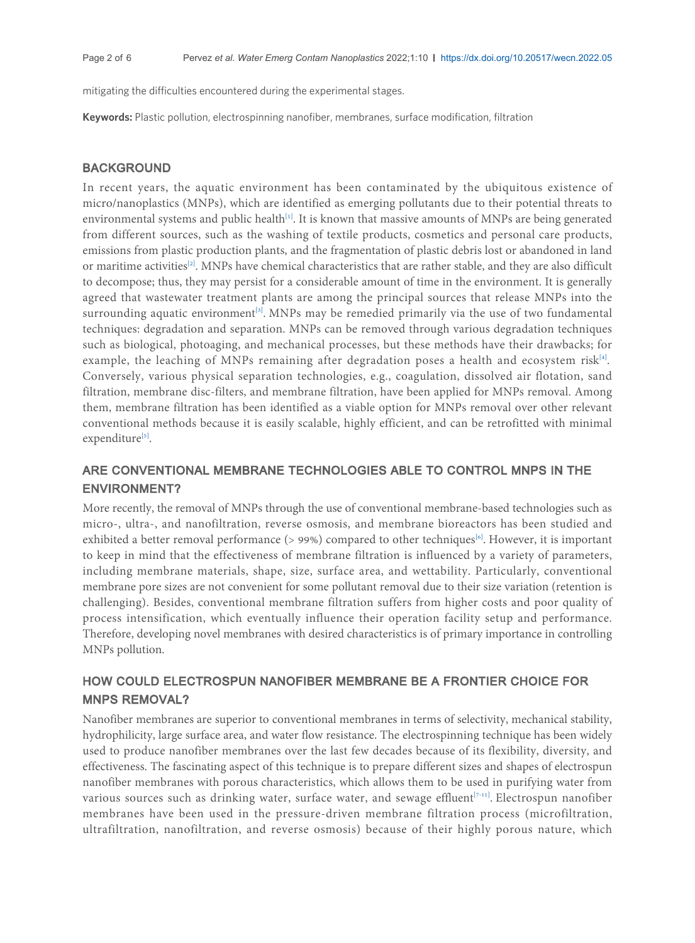mitigating the difficulties encountered during the experimental stages.

**Keywords:** Plastic pollution, electrospinning nanofiber, membranes, surface modification, filtration

# **BACKGROUND**

In recent years, the aquatic environment has been contaminated by the ubiquitous existence of micro/nanoplastics (MNPs), which are identified as emerging pollutants due to their potential threats to environmental systems and public health<sup>[\[1\]](#page-4-0)</sup>. It is known that massive amounts of MNPs are being generated from different sources, such as the washing of textile products, cosmetics and personal care products, emissions from plastic production plants, and the fragmentation of plastic debris lost or abandoned in land or maritime activities<sup>[[2](#page-4-1)]</sup>. MNPs have chemical characteristics that are rather stable, and they are also difficult to decompose; thus, they may persist for a considerable amount of time in the environment. It is generally agreed that wastewater treatment plants are among the principal sources that release MNPs into the surrounding aquatic environment<sup>[[3](#page-4-2)]</sup>. MNPs may be remedied primarily via the use of two fundamental techniques: degradation and separation. MNPs can be removed through various degradation techniques such as biological, photoaging, and mechanical processes, but these methods have their drawbacks; for example, the leaching of MNPs remaining after degradation poses a health and ecosystem risk<sup>[\[4\]](#page-4-3)</sup>. . Conversely, various physical separation technologies, e.g., coagulation, dissolved air flotation, sand filtration, membrane disc-filters, and membrane filtration, have been applied for MNPs removal. Among them, membrane filtration has been identified as a viable option for MNPs removal over other relevant conventional methods because it is easily scalable, highly efficient, and can be retrofitted with minimal expenditure<sup>[\[5\]](#page-4-4)</sup>. .

# ARE CONVENTIONAL MEMBRANE TECHNOLOGIES ABLE TO CONTROL MNPS IN THE ENVIRONMENT?

More recently, the removal of MNPs through the use of conventional membrane-based technologies such as micro-, ultra-, and nanofiltration, reverse osmosis, and membrane bioreactors has been studied and exhibited a better removal performance (> 99%) compared to other techniques<sup>[\[6\]](#page-4-5)</sup>. However, it is important to keep in mind that the effectiveness of membrane filtration is influenced by a variety of parameters, including membrane materials, shape, size, surface area, and wettability. Particularly, conventional membrane pore sizes are not convenient for some pollutant removal due to their size variation (retention is challenging). Besides, conventional membrane filtration suffers from higher costs and poor quality of process intensification, which eventually influence their operation facility setup and performance. Therefore, developing novel membranes with desired characteristics is of primary importance in controlling MNPs pollution.

# HOW COULD ELECTROSPUN NANOFIBER MEMBRANE BE A FRONTIER CHOICE FOR MNPS REMOVAL?

Nanofiber membranes are superior to conventional membranes in terms of selectivity, mechanical stability, hydrophilicity, large surface area, and water flow resistance. The electrospinning technique has been widely used to produce nanofiber membranes over the last few decades because of its flexibility, diversity, and effectiveness. The fascinating aspect of this technique is to prepare different sizes and shapes of electrospun nanofiber membranes with porous characteristics, which allows them to be used in purifying water from various sources such as drinking water, surface water, and sewage effluent<sup>[\[7](#page-4-6)[-11\]](#page-4-7)</sup>. Electrospun nanofiber membranes have been used in the pressure-driven membrane filtration process (microfiltration, ultrafiltration, nanofiltration, and reverse osmosis) because of their highly porous nature, which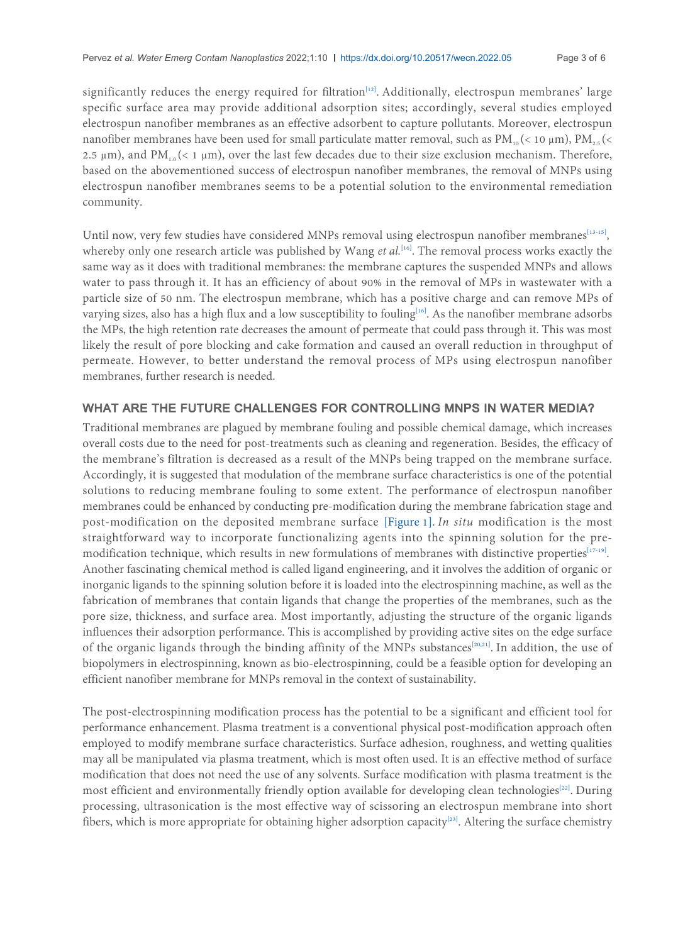significantly reduces the energy required for filtration<sup>[[12](#page-4-8)]</sup>. Additionally, electrospun membranes' large specific surface area may provide additional adsorption sites; accordingly, several studies employed electrospun nanofiber membranes as an effective adsorbent to capture pollutants. Moreover, electrospun nanofiber membranes have been used for small particulate matter removal, such as  $PM_{10}$  (< 10 µm),  $PM_{2.5}$  (< 2.5  $\mu$ m), and PM<sub>1.0</sub> (< 1  $\mu$ m), over the last few decades due to their size exclusion mechanism. Therefore, based on the abovementioned success of electrospun nanofiber membranes, the removal of MNPs using electrospun nanofiber membranes seems to be a potential solution to the environmental remediation community.

Until now, very few studies have considered MNPs removal using electrospun nanofiber membranes $[13-15]$  $[13-15]$  $[13-15]$  $[13-15]$ , , whereby only one research article was published by Wang et al.<sup>[\[16\]](#page-4-11)</sup>. The removal process works exactly the same way as it does with traditional membranes: the membrane captures the suspended MNPs and allows water to pass through it. It has an efficiency of about 90% in the removal of MPs in wastewater with a particle size of 50 nm. The electrospun membrane, which has a positive charge and can remove MPs of varying sizes, also has a high flux and a low susceptibility to fouling<sup>[[16](#page-4-11)]</sup>. As the nanofiber membrane adsorbs the MPs, the high retention rate decreases the amount of permeate that could pass through it. This was most likely the result of pore blocking and cake formation and caused an overall reduction in throughput of permeate. However, to better understand the removal process of MPs using electrospun nanofiber membranes, further research is needed.

# WHAT ARE THE FUTURE CHALLENGES FOR CONTROLLING MNPS IN WATER MEDIA?

Traditional membranes are plagued by membrane fouling and possible chemical damage, which increases overall costs due to the need for post-treatments such as cleaning and regeneration. Besides, the efficacy of the membrane's filtration is decreased as a result of the MNPs being trapped on the membrane surface. Accordingly, it is suggested that modulation of the membrane surface characteristics is one of the potential solutions to reducing membrane fouling to some extent. The performance of electrospun nanofiber membranes could be enhanced by conducting pre-modification during the membrane fabrication stage and post-modification on the deposited membrane surface [\[Figure 1\]](#page-3-0). *In situ* modification is the most straightforward way to incorporate functionalizing agents into the spinning solution for the premodification technique, which results in new formulations of membranes with distinctive properties $[17-19]$  $[17-19]$  $[17-19]$  $[17-19]$ . . Another fascinating chemical method is called ligand engineering, and it involves the addition of organic or inorganic ligands to the spinning solution before it is loaded into the electrospinning machine, as well as the fabrication of membranes that contain ligands that change the properties of the membranes, such as the pore size, thickness, and surface area. Most importantly, adjusting the structure of the organic ligands influences their adsorption performance. This is accomplished by providing active sites on the edge surface of the organic ligands through the binding affinity of the MNPs substances<sup>[[20](#page-5-1),[21](#page-5-2)]</sup>. In addition, the use of biopolymers in electrospinning, known as bio-electrospinning, could be a feasible option for developing an efficient nanofiber membrane for MNPs removal in the context of sustainability.

The post-electrospinning modification process has the potential to be a significant and efficient tool for performance enhancement. Plasma treatment is a conventional physical post-modification approach often employed to modify membrane surface characteristics. Surface adhesion, roughness, and wetting qualities may all be manipulated via plasma treatment, which is most often used. It is an effective method of surface modification that does not need the use of any solvents. Surface modification with plasma treatment is the most efficient and environmentally friendly option available for developing clean technologies<sup>[[22](#page-5-3)]</sup>. During processing, ultrasonication is the most effective way of scissoring an electrospun membrane into short fibers, which is more appropriate for obtaining higher adsorption capacity<sup>[[23](#page-5-4)]</sup>. Altering the surface chemistry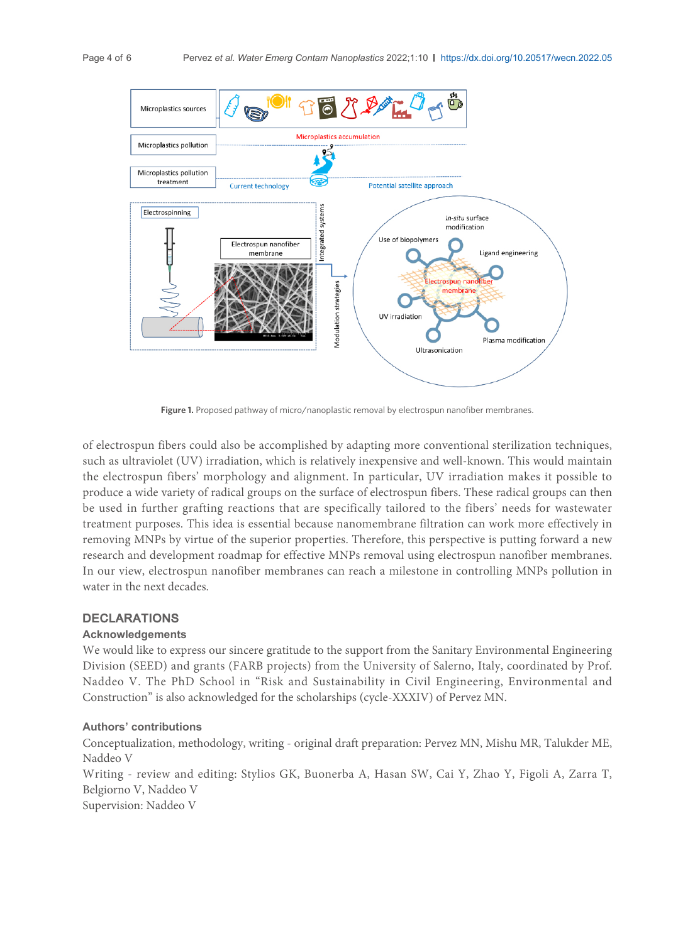<span id="page-3-0"></span>

Figure 1. Proposed pathway of micro/nanoplastic removal by electrospun nanofiber membranes.

of electrospun fibers could also be accomplished by adapting more conventional sterilization techniques, such as ultraviolet (UV) irradiation, which is relatively inexpensive and well-known. This would maintain the electrospun fibers' morphology and alignment. In particular, UV irradiation makes it possible to produce a wide variety of radical groups on the surface of electrospun fibers. These radical groups can then be used in further grafting reactions that are specifically tailored to the fibers' needs for wastewater treatment purposes. This idea is essential because nanomembrane filtration can work more effectively in removing MNPs by virtue of the superior properties. Therefore, this perspective is putting forward a new research and development roadmap for effective MNPs removal using electrospun nanofiber membranes. In our view, electrospun nanofiber membranes can reach a milestone in controlling MNPs pollution in water in the next decades.

### DECLARATIONS

#### **Acknowledgements**

We would like to express our sincere gratitude to the support from the Sanitary Environmental Engineering Division (SEED) and grants (FARB projects) from the University of Salerno, Italy, coordinated by Prof. Naddeo V. The PhD School in "Risk and Sustainability in Civil Engineering, Environmental and Construction" is also acknowledged for the scholarships (cycle-XXXIV) of Pervez MN.

#### **Authors' contributions**

Conceptualization, methodology, writing - original draft preparation: Pervez MN, Mishu MR, Talukder ME, Naddeo V

Writing - review and editing: Stylios GK, Buonerba A, Hasan SW, Cai Y, Zhao Y, Figoli A, Zarra T, Belgiorno V, Naddeo V

Supervision: Naddeo V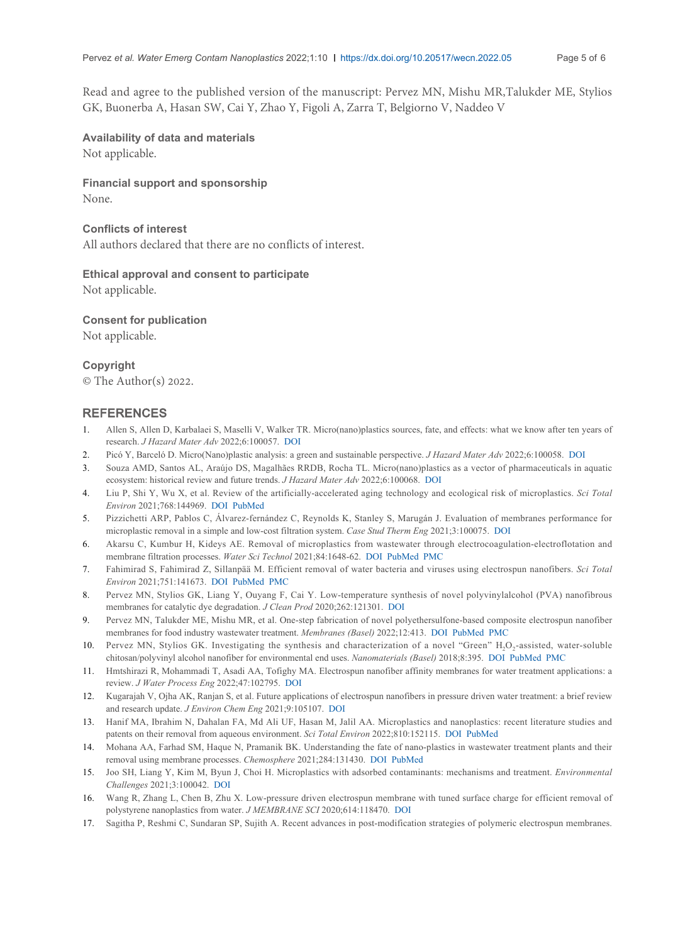Page 5 of 6

Read and agree to the published version of the manuscript: Pervez MN, Mishu MR,Talukder ME, Stylios GK, Buonerba A, Hasan SW, Cai Y, Zhao Y, Figoli A, Zarra T, Belgiorno V, Naddeo V

# **Availability of data and materials** Not applicable.

**Financial support and sponsorship** None.

#### **Conflicts of interest**

All authors declared that there are no conflicts of interest.

# **Ethical approval and consent to participate**

Not applicable.

#### **Consent for publication**

Not applicable.

# **Copyright**

© The Author(s) 2022.

#### **REFERENCES**

- <span id="page-4-0"></span>Allen S, Allen D, Karbalaei S, Maselli V, Walker TR. Micro(nano)plastics sources, fate, and effects: what we know after ten years of research. *J Hazard Mater Adv* 2022;6:100057. [DOI](https://dx.doi.org/10.1016/j.hazadv.2022.100057) 1.
- <span id="page-4-1"></span>2. Picó Y, Barceló D. Micro(Nano)plastic analysis: a green and sustainable perspective. *J Hazard Mater Adv* 2022;6:100058. [DOI](https://dx.doi.org/10.1016/j.hazadv.2022.100058)
- <span id="page-4-2"></span>Souza AMD, Santos AL, Araújo DS, Magalhães RRDB, Rocha TL. Micro(nano)plastics as a vector of pharmaceuticals in aquatic ecosystem: historical review and future trends. *J Hazard Mater Adv* 2022;6:100068. [DOI](https://dx.doi.org/10.1016/j.hazadv.2022.100068) 3.
- <span id="page-4-3"></span>Liu P, Shi Y, Wu X, et al. Review of the artificially-accelerated aging technology and ecological risk of microplastics. *Sci Total Environ* 2021;768:144969. [DOI](https://dx.doi.org/10.1016/j.scitotenv.2021.144969) [PubMed](http://www.ncbi.nlm.nih.gov/pubmed/33736298) 4.
- <span id="page-4-4"></span>Pizzichetti ARP, Pablos C, Álvarez-fernández C, Reynolds K, Stanley S, Marugán J. Evaluation of membranes performance for microplastic removal in a simple and low-cost filtration system. *Case Stud Therm Eng* 2021;3:100075. [DOI](https://dx.doi.org/10.1016/j.cscee.2020.100075) 5.
- <span id="page-4-5"></span>Akarsu C, Kumbur H, Kideys AE. Removal of microplastics from wastewater through electrocoagulation-electroflotation and membrane filtration processes. *Water Sci Technol* 2021;84:1648-62. [DOI](https://dx.doi.org/10.2166/wst.2021.356) [PubMed](http://www.ncbi.nlm.nih.gov/pubmed/34662303) [PMC](https://www.ncbi.nlm.nih.gov/pmc/articles/wst_2021_356) 6.
- <span id="page-4-6"></span>Fahimirad S, Fahimirad Z, Sillanpää M. Efficient removal of water bacteria and viruses using electrospun nanofibers. *Sci Total Environ* 2021;751:141673. [DOI](https://dx.doi.org/10.1016/j.scitotenv.2020.141673) [PubMed](http://www.ncbi.nlm.nih.gov/pubmed/32866832) [PMC](https://www.ncbi.nlm.nih.gov/pmc/articles/PMC7428676) 7.
- Pervez MN, Stylios GK, Liang Y, Ouyang F, Cai Y. Low-temperature synthesis of novel polyvinylalcohol (PVA) nanofibrous membranes for catalytic dye degradation. *J Clean Prod* 2020;262:121301. [DOI](https://dx.doi.org/10.1016/j.jclepro.2020.121301) 8.
- Pervez MN, Talukder ME, Mishu MR, et al. One-step fabrication of novel polyethersulfone-based composite electrospun nanofiber membranes for food industry wastewater treatment. *Membranes (Basel)* 2022;12:413. [DOI](https://dx.doi.org/10.3390/membranes12040413) [PubMed](http://www.ncbi.nlm.nih.gov/pubmed/35448383) [PMC](https://www.ncbi.nlm.nih.gov/pmc/articles/PMC9028427) 9.
- 10. Pervez MN, Stylios GK. Investigating the synthesis and characterization of a novel "Green"  $H_2O_2$ -assisted, water-soluble chitosan/polyvinyl alcohol nanofiber for environmental end uses. *Nanomaterials (Basel)* 2018;8:395. [DOI](https://dx.doi.org/10.3390/nano8060395) [PubMed](http://www.ncbi.nlm.nih.gov/pubmed/29865198) [PMC](https://www.ncbi.nlm.nih.gov/pmc/articles/PMC6027504)
- <span id="page-4-7"></span>11. Hmtshirazi R, Mohammadi T, Asadi AA, Tofighy MA. Electrospun nanofiber affinity membranes for water treatment applications: a review. *J Water Process Eng* 2022;47:102795. [DOI](https://dx.doi.org/10.1016/j.jwpe.2022.102795)
- <span id="page-4-8"></span>12. Kugarajah V, Ojha AK, Ranjan S, et al. Future applications of electrospun nanofibers in pressure driven water treatment: a brief review and research update. *J Environ Chem Eng* 2021;9:105107. [DOI](https://dx.doi.org/10.1016/j.jece.2021.105107)
- <span id="page-4-9"></span>Hanif MA, Ibrahim N, Dahalan FA, Md Ali UF, Hasan M, Jalil AA. Microplastics and nanoplastics: recent literature studies and 13. patents on their removal from aqueous environment. *Sci Total Environ* 2022;810:152115. [DOI](https://dx.doi.org/10.1016/j.scitotenv.2021.152115) [PubMed](http://www.ncbi.nlm.nih.gov/pubmed/34896138)
- 14. Mohana AA, Farhad SM, Haque N, Pramanik BK. Understanding the fate of nano-plastics in wastewater treatment plants and their removal using membrane processes. *Chemosphere* 2021;284:131430. [DOI](https://dx.doi.org/10.1016/j.chemosphere.2021.131430) [PubMed](http://www.ncbi.nlm.nih.gov/pubmed/34323805)
- <span id="page-4-10"></span>Joo SH, Liang Y, Kim M, Byun J, Choi H. Microplastics with adsorbed contaminants: mechanisms and treatment. *Environmental* 15. *Challenges* 2021;3:100042. [DOI](https://dx.doi.org/10.1016/j.envc.2021.100042)
- <span id="page-4-11"></span>Wang R, Zhang L, Chen B, Zhu X. Low-pressure driven electrospun membrane with tuned surface charge for efficient removal of 16. polystyrene nanoplastics from water. *J MEMBRANE SCI* 2020;614:118470. [DOI](https://dx.doi.org/10.1016/j.memsci.2020.118470)
- <span id="page-4-12"></span>17. Sagitha P, Reshmi C, Sundaran SP, Sujith A. Recent advances in post-modification strategies of polymeric electrospun membranes.